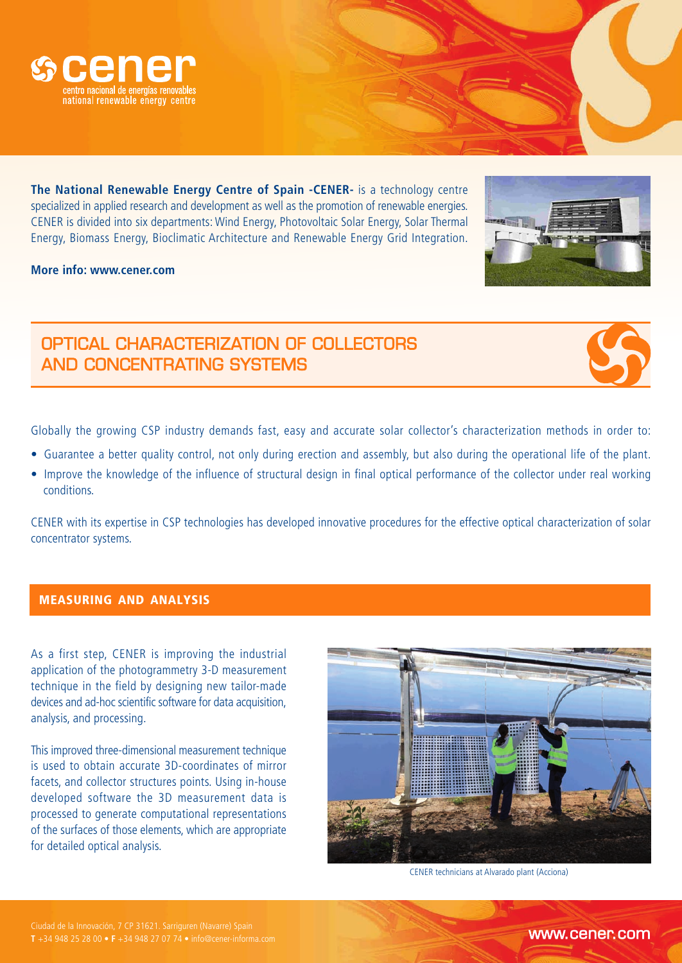

**The National Renewable Energy Centre of Spain -CENER-** is a technology centre specialized in applied research and development as well as the promotion of renewable energies. CENER is divided into six departments: Wind Energy, Photovoltaic Solar Energy, Solar Thermal Energy, Biomass Energy, Bioclimatic Architecture and Renewable Energy Grid Integration.

**More info: www.cener.com**

## OPTICAL CHARACTERIZATION OF COLLECTORS AND CONCENTRATING SYSTEMS

Globally the growing CSP industry demands fast, easy and accurate solar collector's characterization methods in order to:

- Guarantee a better quality control, not only during erection and assembly, but also during the operational life of the plant.
- Improve the knowledge of the influence of structural design in final optical performance of the collector under real working conditions.

CENER with its expertise in CSP technologies has developed innovative procedures for the effective optical characterization of solar concentrator systems.

## **MEASURING AND ANALYSIS**

As a first step, CENER is improving the industrial application of the photogrammetry 3-D measurement technique in the field by designing new tailor-made devices and ad-hoc scientific software for data acquisition, analysis, and processing.

This improved three-dimensional measurement technique is used to obtain accurate 3D-coordinates of mirror facets, and collector structures points. Using in-house developed software the 3D measurement data is processed to generate computational representations of the surfaces of those elements, which are appropriate for detailed optical analysis.